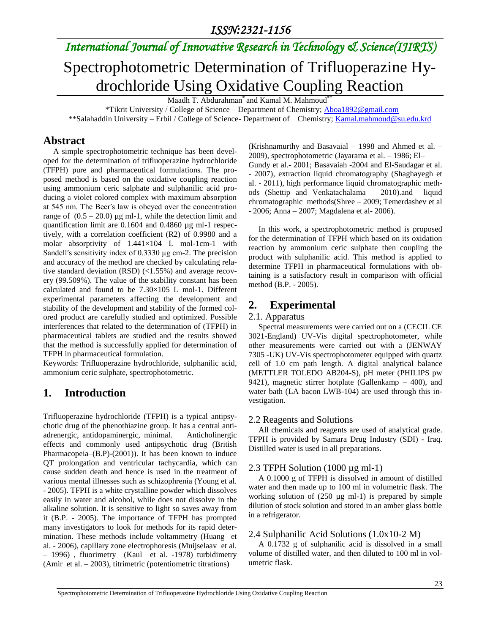## *International Journal of Innovative Research in Technology & Science(IJIRTS)*

# Spectrophotometric Determination of Trifluoperazine Hydrochloride Using Oxidative Coupling Reaction

Maadh T. Abdurahman<sup>\*</sup> and Kamal M. Mahmoud<sup>\*</sup>

 \*Tikrit University / College of Science – Department of Chemistry; [Aboa1892@gmail.com](mailto:Aboa1892@gmail.com) \*\*Salahaddin University – Erbil / College of Science- Department of Chemistry; [Kamal.mahmoud@su.edu.krd](mailto:Kamal.mahmoud@su.edu.krd)

### **Abstract**

 A simple spectrophotometric technique has been developed for the determination of trifluoperazine hydrochloride (TFPH) pure and pharmaceutical formulations. The proposed method is based on the oxidative coupling reaction using ammonium ceric salphate and sulphanilic acid producing a violet colored complex with maximum absorption at 545 nm. The Beer′s law is obeyed over the concentration range of  $(0.5 - 20.0)$  µg ml-1, while the detection limit and quantification limit are 0.1604 and 0.4860 µg ml-1 respectively, with a correlation coefficient (R2) of 0.9980 and a molar absorptivity of 1.441×104 L mol-1cm-1 with Sandell′s sensitivity index of 0.3330 µg cm-2. The precision and accuracy of the method are checked by calculating relative standard deviation (RSD) (<1.55%) and average recovery (99.509%). The value of the stability constant has been calculated and found to be 7.30×105 L mol-1. Different experimental parameters affecting the development and stability of the development and stability of the formed colored product are carefully studied and optimized. Possible interferences that related to the determination of (TFPH) in pharmaceutical tablets are studied and the results showed that the method is successfully applied for determination of TFPH in pharmaceutical formulation.

Keywords: Trifluoperazine hydrochloride, sulphanilic acid, ammonium ceric sulphate, spectrophotometric.

## **1. Introduction**

Trifluoperazine hydrochloride (TFPH) is a typical antipsychotic drug of the phenothiazine group. It has a central antiadrenergic, antidopaminergic, minimal. Anticholinergic effects and commonly used antipsychotic drug (British Pharmacopeia–(B.P)-(2001)). It has been known to induce QT prolongation and ventricular tachycardia, which can cause sudden death and hence is used in the treatment of various mental illnesses such as schizophrenia (Young et al. - 2005). TFPH is a white crystalline powder which dissolves easily in water and alcohol, while does not dissolve in the alkaline solution. It is sensitive to light so saves away from it (B.P. - 2005). The importance of TFPH has prompted many investigators to look for methods for its rapid determination. These methods include voltammetry (Huang et al. - 2006), capillary zone electrophoresis (Muijselaav et al. – 1996) , fluorimetry (Kaul et al. -1978) turbidimetry (Amir et al. – 2003), titrimetric (potentiometric titrations)

(Krishnamurthy and Basavaial – 1998 and Ahmed et al. – 2009), spectrophotometric (Jayarama et al. – 1986; El– Gundy et al.- 2001; Basavaiah -2004 and El-Saudagar et al. - 2007), extraction liquid chromatography (Shaghayegh et al. - 2011), high performance liquid chromatographic methods (Shettip and Venkatachalama – 2010).and liquid chromatographic methods(Shree – 2009; Temerdashev et al - 2006; Anna – 2007; Magdalena et al- 2006).

 In this work, a spectrophotometric method is proposed for the determination of TFPH which based on its oxidation reaction by ammonium ceric sulphate then coupling the product with sulphanilic acid. This method is applied to determine TFPH in pharmaceutical formulations with obtaining is a satisfactory result in comparison with official method (B.P. - 2005).

## **2. Experimental**

#### 2.1. Apparatus

 Spectral measurements were carried out on a (CECIL CE 3021-England) UV-Vis digital spectrophotometer, while other measurements were carried out with a (JENWAY 7305 -UK) UV-Vis spectrophotometer equipped with quartz cell of 1.0 cm path length. A digital analytical balance (METTLER TOLEDO AB204-S), pH meter (PHILIPS pw 9421), magnetic stirrer hotplate (Gallenkamp – 400), and water bath (LA bacon LWB-104) are used through this investigation.

#### 2.2 Reagents and Solutions

 All chemicals and reagents are used of analytical grade. TFPH is provided by Samara Drug Industry (SDI) - Iraq. Distilled water is used in all preparations.

#### 2.3 TFPH Solution (1000 µg ml-1)

 A 0.1000 g of TFPH is dissolved in amount of distilled water and then made up to 100 ml in volumetric flask. The working solution of  $(250 \text{ µg ml-1})$  is prepared by simple dilution of stock solution and stored in an amber glass bottle in a refrigerator.

#### 2.4 Sulphanilic Acid Solutions (1.0x10-2 M)

 A 0.1732 g of sulphanilic acid is dissolved in a small volume of distilled water, and then diluted to 100 ml in volumetric flask.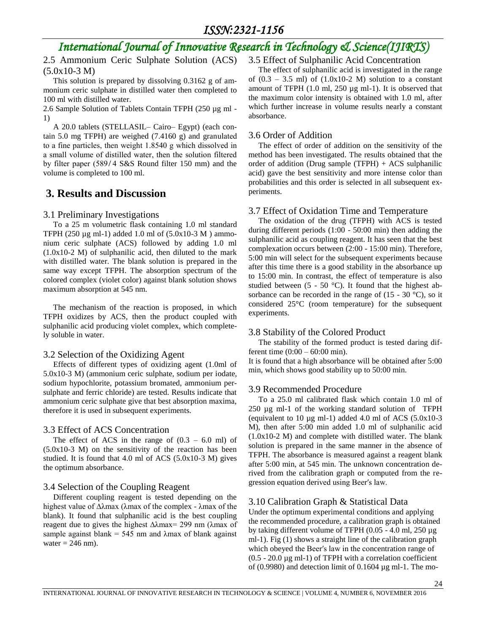## *International Journal of Innovative Research in Technology & Science(IJIRTS)*

2.5 Ammonium Ceric Sulphate Solution (ACS) (5.0x10-3 M)

 This solution is prepared by dissolving 0.3162 g of ammonium ceric sulphate in distilled water then completed to 100 ml with distilled water.

2.6 Sample Solution of Tablets Contain TFPH (250 µg ml - 1)

 A 20.0 tablets (STELLASIL– Cairo– Egypt) (each contain 5.0 mg TFPH) are weighed (7.4160 g) and granulated to a fine particles, then weight  $1.8540$  g which dissolved in a small volume of distilled water, then the solution filtered by filter paper (589/4 S&S Round filter 150 mm) and the volume is completed to 100 ml.

## **3. Results and Discussion**

#### 3.1 Preliminary Investigations

 To a 25 m volumetric flask containing 1.0 ml standard TFPH (250  $\mu$ g ml-1) added 1.0 ml of (5.0x10-3 M) ammonium ceric sulphate (ACS) followed by adding 1.0 ml (1.0x10-2 M) of sulphanilic acid, then diluted to the mark with distilled water. The blank solution is prepared in the same way except TFPH. The absorption spectrum of the colored complex (violet color) against blank solution shows maximum absorption at 545 nm.

 The mechanism of the reaction is proposed, in which TFPH oxidizes by ACS, then the product coupled with sulphanilic acid producing violet complex, which completely soluble in water.

#### 3.2 Selection of the Oxidizing Agent

 Effects of different types of oxidizing agent (1.0ml of 5.0x10-3 M) (ammonium ceric sulphate, sodium per iodate, sodium hypochlorite, potassium bromated, ammonium persulphate and ferric chloride) are tested. Results indicate that ammonium ceric sulphate give that best absorption maxima, therefore it is used in subsequent experiments.

#### 3.3 Effect of ACS Concentration

The effect of ACS in the range of  $(0.3 - 6.0$  ml) of (5.0x10-3 M) on the sensitivity of the reaction has been studied. It is found that 4.0 ml of ACS (5.0x10-3 M) gives the optimum absorbance.

#### 3.4 Selection of the Coupling Reagent

 Different coupling reagent is tested depending on the highest value of  $Δλmax$  ( $λmax$  of the complex -  $λmax$  of the blank). It found that sulphanilic acid is the best coupling reagent due to gives the highest  $\Delta\lambda$ max= 299 nm ( $\lambda$ max of sample against blank =  $545$  nm and  $\lambda$ max of blank against water  $= 246$  nm).

#### 3.5 Effect of Sulphanilic Acid Concentration

 The effect of sulphanilic acid is investigated in the range of  $(0.3 - 3.5 \text{ ml})$  of  $(1.0x10-2 \text{ M})$  solution to a constant amount of TFPH (1.0 ml, 250 µg ml-1). It is observed that the maximum color intensity is obtained with 1.0 ml, after which further increase in volume results nearly a constant absorbance.

#### 3.6 Order of Addition

 The effect of order of addition on the sensitivity of the method has been investigated. The results obtained that the order of addition (Drug sample (TFPH)  $+$  ACS sulphanilic acid) gave the best sensitivity and more intense color than probabilities and this order is selected in all subsequent experiments.

#### 3.7 Effect of Oxidation Time and Temperature

 The oxidation of the drug (TFPH) with ACS is tested during different periods (1:00 - 50:00 min) then adding the sulphanilic acid as coupling reagent. It has seen that the best complexation occurs between (2:00 - 15:00 min). Therefore, 5:00 min will select for the subsequent experiments because after this time there is a good stability in the absorbance up to 15:00 min. In contrast, the effect of temperature is also studied between (5 - 50 °C). It found that the highest absorbance can be recorded in the range of  $(15 - 30 \degree C)$ , so it considered 25°C (room temperature) for the subsequent experiments.

#### 3.8 Stability of the Colored Product

 The stability of the formed product is tested daring different time  $(0:00 - 60:00 \text{ min})$ .

It is found that a high absorbance will be obtained after 5:00 min, which shows good stability up to 50:00 min.

#### 3.9 Recommended Procedure

 To a 25.0 ml calibrated flask which contain 1.0 ml of 250 µg ml-1 of the working standard solution of TFPH (equivalent to 10  $\mu$ g ml-1) added 4.0 ml of ACS (5.0x10-3) M), then after 5:00 min added 1.0 ml of sulphanilic acid (1.0x10-2 M) and complete with distilled water. The blank solution is prepared in the same manner in the absence of TFPH. The absorbance is measured against a reagent blank after 5:00 min, at 545 min. The unknown concentration derived from the calibration graph or computed from the regression equation derived using Beer's law.

#### 3.10 Calibration Graph & Statistical Data

Under the optimum experimental conditions and applying the recommended procedure, a calibration graph is obtained by taking different volume of TFPH (0.05 - 4.0 ml, 250 µg ml-1). Fig (1) shows a straight line of the calibration graph which obeyed the Beer′s law in the concentration range of  $(0.5 - 20.0 \,\mu g \,\text{ml-1})$  of TFPH with a correlation coefficient of  $(0.9980)$  and detection limit of  $0.1604 \mu g$  ml-1. The mo-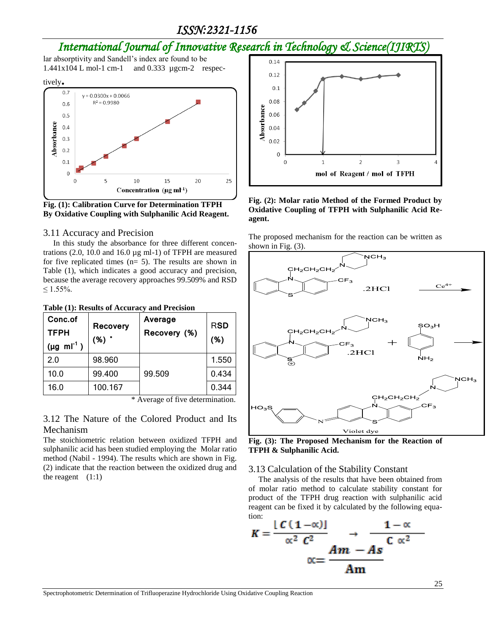## *ISSN:2321-1156*

## *International Journal of Innovative Research in Technology & Science(IJIRTS)*

lar absorptivity and Sandell's index are found to be 1.441x104 L mol-1 cm-1 and 0.333 µgcm-2 respec-



**Fig. (1): Calibration Curve for Determination TFPH By Oxidative Coupling with Sulphanilic Acid Reagent.**

#### 3.11 Accuracy and Precision

In this study the absorbance for three different concentrations (2.0, 10.0 and 16.0 µg ml-1) of TFPH are measured for five replicated times (n= 5). The results are shown in Table (1), which indicates a good accuracy and precision, because the average recovery approaches 99.509% and RSD  $≤ 1.55%$ .

**Table (1): Results of Accuracy and Precision**

| Conc.of<br><b>TFPH</b><br>$(\mu g \text{ ml}^{-1})$ | <b>Recovery</b><br>$(%)$ * | Average<br>Recovery (%) | <b>RSD</b><br>(%) |
|-----------------------------------------------------|----------------------------|-------------------------|-------------------|
| 2.0                                                 | 98.960                     |                         | 1.550             |
| 10.0                                                | 99.400                     | 99.509                  | 0.434             |
| 16.0                                                | 100.167                    |                         | 0.344             |

\* Average of five determination.

#### 3.12 The Nature of the Colored Product and Its Mechanism

The stoichiometric relation between oxidized TFPH and sulphanilic acid has been studied employing the Molar ratio method (Nabil - 1994). The results which are shown in Fig. (2) indicate that the reaction between the oxidized drug and the reagent  $(1:1)$ 



**Fig. (2): Molar ratio Method of the Formed Product by Oxidative Coupling of TFPH with Sulphanilic Acid Reagent.**

The proposed mechanism for the reaction can be written as shown in Fig. (3).



**Fig. (3): The Proposed Mechanism for the Reaction of TFPH & Sulphanilic Acid.**

#### 3.13 Calculation of the Stability Constant

 The analysis of the results that have been obtained from of molar ratio method to calculate stability constant for product of the TFPH drug reaction with sulphanilic acid reagent can be fixed it by calculated by the following equation:

$$
K = \frac{[C(1-\alpha)]}{\alpha^2 C^2} \rightarrow \frac{1-\alpha}{C \alpha^2}
$$

$$
\alpha = \frac{Am - As}{Am}
$$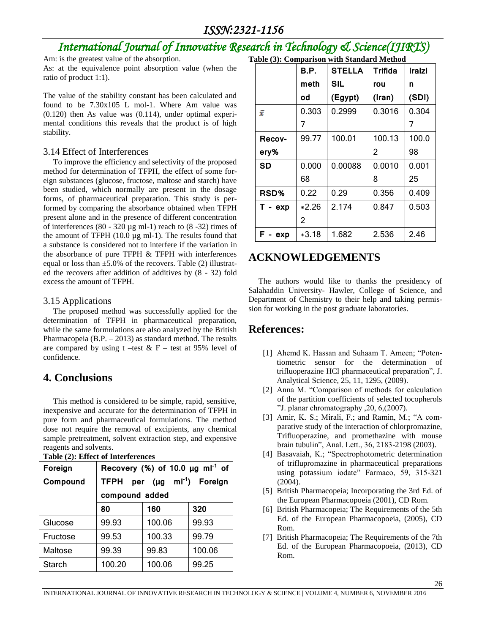## *ISSN:2321-1156*

## *International Journal of Innovative Research in Technology & Science(IJIRTS)*

Am: is the greatest value of the absorption.

As: at the equivalence point absorption value (when the ratio of product 1:1).

The value of the stability constant has been calculated and found to be 7.30x105 L mol-1. Where Am value was (0.120) then As value was (0.114), under optimal experimental conditions this reveals that the product is of high stability.

#### 3.14 Effect of Interferences

 To improve the efficiency and selectivity of the proposed method for determination of TFPH, the effect of some foreign substances (glucose, fructose, maltose and starch) have been studied, which normally are present in the dosage forms, of pharmaceutical preparation. This study is performed by comparing the absorbance obtained when TFPH present alone and in the presence of different concentration of interferences  $(80 - 320 \mu g$  ml-1) reach to  $(8 - 32)$  times of the amount of TFPH (10.0 µg ml-1). The results found that a substance is considered not to interfere if the variation in the absorbance of pure TFPH & TFPH with interferences equal or loss than  $\pm$ 5.0% of the recovers. Table (2) illustrated the recovers after addition of additives by (8 - 32) fold excess the amount of TFPH.

#### 3.15 Applications

 The proposed method was successfully applied for the determination of TFPH in pharmaceutical preparation, while the same formulations are also analyzed by the British Pharmacopeia (B.P. – 2013) as standard method. The results are compared by using  $t$  –test & F – test at 95% level of confidence.

### **4. Conclusions**

 This method is considered to be simple, rapid, sensitive, inexpensive and accurate for the determination of TFPH in pure form and pharmaceutical formulations. The method dose not require the removal of excipients, any chemical sample pretreatment, solvent extraction step, and expensive reagents and solvents.

| Tuble (2), Enfect of mitcher cheep |                                                   |        |        |  |
|------------------------------------|---------------------------------------------------|--------|--------|--|
| Foreign                            | Recovery (%) of 10.0 $\mu$ g ml <sup>-1</sup> of  |        |        |  |
| Compound                           | per (µg ml <sup>-1</sup> ) Foreign<br><b>TFPH</b> |        |        |  |
|                                    | compound added                                    |        |        |  |
|                                    | 80                                                | 160    | 320    |  |
| Glucose                            | 99.93                                             | 100.06 | 99.93  |  |
| Fructose                           | 99.53                                             | 100.33 | 99.79  |  |
| Maltose                            | 99.39                                             | 99.83  | 100.06 |  |
| <b>Starch</b>                      | 100.20                                            | 100.06 | 99.25  |  |

|  |  | Table (2): Effect of Interferences |  |
|--|--|------------------------------------|--|
|--|--|------------------------------------|--|

| Table (3): Comparison with Standard Method |                     |                |  |  |
|--------------------------------------------|---------------------|----------------|--|--|
|                                            | $\overline{B}$ B.P. | STELLA Triflda |  |  |

|               | B.P.    | <b>STELLA</b> | Triflda | Iralzi |
|---------------|---------|---------------|---------|--------|
|               | meth    | <b>SIL</b>    | rou     | n      |
|               | od      | (Egypt)       | (Iran)  | (SDI)  |
| ž             | 0.303   | 0.2999        | 0.3016  | 0.304  |
|               | 7       |               |         | 7      |
| <b>Recov-</b> | 99.77   | 100.01        | 100.13  | 100.0  |
| ery%          |         |               | 2       | 98     |
| <b>SD</b>     | 0.000   | 0.00088       | 0.0010  | 0.001  |
|               | 68      |               | 8       | 25     |
| RSD%          | 0.22    | 0.29          | 0.356   | 0.409  |
| $T - exp$     | *2.26   | 2.174         | 0.847   | 0.503  |
|               | 2       |               |         |        |
| exp           | $*3.18$ | 1.682         | 2.536   | 2.46   |

## **ACKNOWLEDGEMENTS**

 The authors would like to thanks the presidency of Salahaddin University- Hawler, College of Science, and Department of Chemistry to their help and taking permission for working in the post graduate laboratories.

### **References:**

- [1] Ahemd K. Hassan and Suhaam T. Ameen; "Potentiometric sensor for the determination of trifluoperazine HCl pharmaceutical preparation", J. Analytical Science, 25, 11, 1295, (2009).
- [2] Anna M. "Comparison of methods for calculation of the partition coefficients of selected tocopherols "J. planar chromatography  $,20, 6, (2007)$ .
- [3] Amir, K. S.; Mirali, F.; and Ramin, M.; "A comparative study of the interaction of chlorpromazine, Trifluoperazine, and promethazine with mouse brain tubulin", Anal. Lett., 36, 2183-2198 (2003).
- [4] Basavaiah, K.; "Spectrophotometric determination of triflupromazine in pharmaceutical preparations using potassium iodate" Farmaco, 59, 315-321 (2004).
- [5] British Pharmacopeia; Incorporating the 3rd Ed. of the European Pharmacopoeia (2001), CD Rom.
- [6] British Pharmacopeia; The Requirements of the 5th Ed. of the European Pharmacopoeia, (2005), CD Rom.
- [7] British Pharmacopeia; The Requirements of the 7th Ed. of the European Pharmacopoeia, (2013), CD Rom.